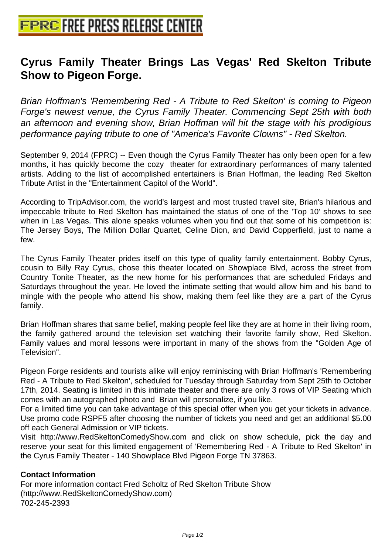## **[Cyrus Family Theater Brings La](http://www.free-press-release-center.info)s Vegas' Red Skelton Tribute Show to Pigeon Forge.**

Brian Hoffman's 'Remembering Red - A Tribute to Red Skelton' is coming to Pigeon Forge's newest venue, the Cyrus Family Theater. Commencing Sept 25th with both an afternoon and evening show, Brian Hoffman will hit the stage with his prodigious performance paying tribute to one of "America's Favorite Clowns" - Red Skelton.

September 9, 2014 (FPRC) -- Even though the Cyrus Family Theater has only been open for a few months, it has quickly become the cozy theater for extraordinary performances of many talented artists. Adding to the list of accomplished entertainers is Brian Hoffman, the leading Red Skelton Tribute Artist in the "Entertainment Capitol of the World".

According to TripAdvisor.com, the world's largest and most trusted travel site, Brian's hilarious and impeccable tribute to Red Skelton has maintained the status of one of the 'Top 10' shows to see when in Las Vegas. This alone speaks volumes when you find out that some of his competition is: The Jersey Boys, The Million Dollar Quartet, Celine Dion, and David Copperfield, just to name a few.

The Cyrus Family Theater prides itself on this type of quality family entertainment. Bobby Cyrus, cousin to Billy Ray Cyrus, chose this theater located on Showplace Blvd, across the street from Country Tonite Theater, as the new home for his performances that are scheduled Fridays and Saturdays throughout the year. He loved the intimate setting that would allow him and his band to mingle with the people who attend his show, making them feel like they are a part of the Cyrus family.

Brian Hoffman shares that same belief, making people feel like they are at home in their living room, the family gathered around the television set watching their favorite family show, Red Skelton. Family values and moral lessons were important in many of the shows from the "Golden Age of Television".

Pigeon Forge residents and tourists alike will enjoy reminiscing with Brian Hoffman's 'Remembering Red - A Tribute to Red Skelton', scheduled for Tuesday through Saturday from Sept 25th to October 17th, 2014. Seating is limited in this intimate theater and there are only 3 rows of VIP Seating which comes with an autographed photo and Brian will personalize, if you like.

For a limited time you can take advantage of this special offer when you get your tickets in advance. Use promo code RSPF5 after choosing the number of tickets you need and get an additional \$5.00 off each General Admission or VIP tickets.

Visit http://www.RedSkeltonComedyShow.com and click on show schedule, pick the day and reserve your seat for this limited engagement of 'Remembering Red - A Tribute to Red Skelton' in the Cyrus Family Theater - 140 Showplace Blvd Pigeon Forge TN 37863.

## **Contact Information**

For more information contact Fred Scholtz of Red Skelton Tribute Show (http://www.RedSkeltonComedyShow.com) 702-245-2393